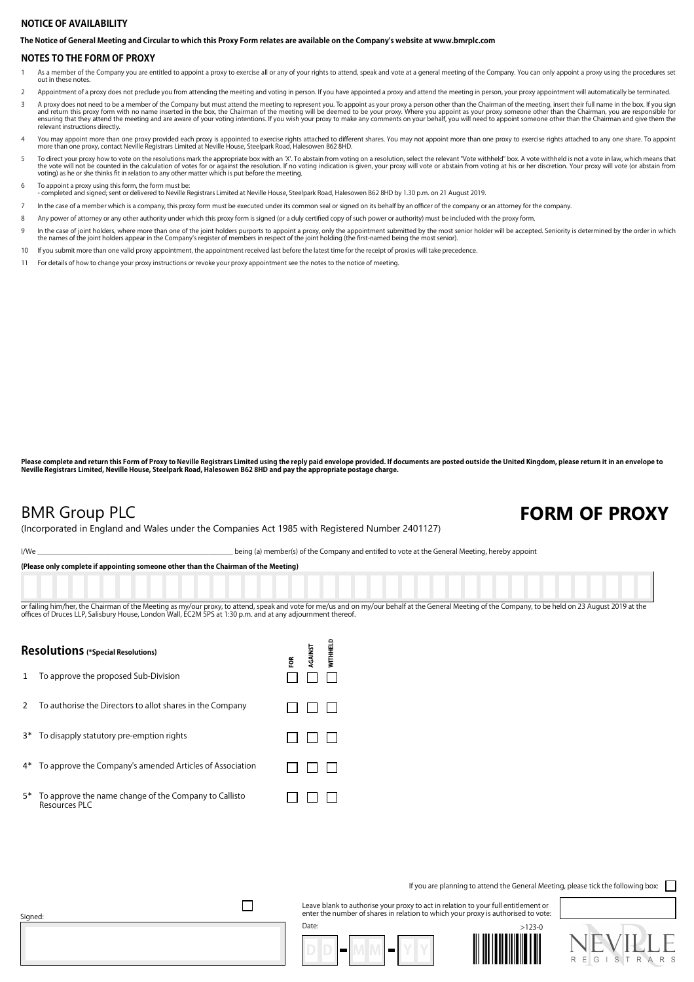## **NOTICE OF AVAILABILITY**

**The Notice of General Meeting and Circular to which this Proxy Form relates are available on the Company's website at www.bmrplc.com**

## **NOTES TO THE FORM OF PROXY**

- 1 As a member of the Company you are entitled to appoint a proxy to exercise all or any of your rights to attend, speak and vote at a general meeting of the Company. You can only appoint a proxy using the procedures set out in these notes.
- 2 Appointment of a proxy does not preclude you from attending the meeting and voting in person. If you have appointed a proxy and attend the meeting in person, your proxy appointment will automatically be terminated.
- A proxy does not need to be a member of the Company but must attend the meeting to represent you. To appoint as your proxy a person other than the Chairman of the meeting, insert their full name in the box. If you sign<br>and relevant instructions directly.
- You may appoint more than one proxy provided each proxy is appointed to exercise rights attached to different shares. You may not appoint more than one proxy to exercise rights attached to any one share. To appoint more th
- To direct your proxy how to vote on the resolutions mark the appropriate box with an 'X'. To abstain from voting on a resolution, select the relevant "Vote withheld" box. A vote withheld is not a vote in law, which means t
- 
- 6 To appoint a proxy using this form, the form must be: completed and signed; sent or delivered to Neville Registrars Limited at Neville House, Steelpark Road, Halesowen B62 8HD by 1.30 p.m. on 21 August 2019.
- 7 In the case of a member which is a company, this proxy form must be executed under its common seal or signed on its behalf by an officer of the company or an attorney for the company.
- 8 Any power of attorney or any other authority under which this proxy form is signed (or a duly certified copy of such power or authority) must be included with the proxy form.
- h the case of joint holders, where more than one of the joint holders purports to appoint a proxy, only the appointment submitted by the most senior holder will be accepted. Seniority is determined by the order in which<br>th
- 10 If you submit more than one valid proxy appointment, the appointment received last before the latest time for the receipt of proxies will take precedence.
- 11 For details of how to change your proxy instructions or revoke your proxy appointment see the notes to the notice of meeting.

Please complete and return this Form of Proxy to Neville Registrars Limited using the reply paid envelope provided. If documents are posted outside the United Kingdom, please return it in an envelope to<br>Neville Registrars

## **BMR Group PLC FORM OF PROXY**

(Incorporated in England and Wales under the Companies Act 1985 with Registered Number 2401127)

I/We state of the Company and entitled to vote at the General Meeting, hereby appoint

**(Please only complete if appointing someone other than the Chairman of the Meeting)**

or failing him/her, the Chairman of the Meeting as my/our proxy, to attend, speak and vote for me/us and on my/our behalf at the General Meeting of the Company, to be held on 23 August 2019 at the offices of Druces LLP, Salisbury House, London Wall, EC2M 5PS at 1:30 p.m. and at any adjournment thereof.

 $\overline{a}$ 

| <b>Resolutions</b> (*Special Resolutions) |                                                                           |    | GAINST | <b>NITHEL</b> |
|-------------------------------------------|---------------------------------------------------------------------------|----|--------|---------------|
| 1                                         | To approve the proposed Sub-Division                                      | ទី |        |               |
| $\mathcal{P}$                             | To authorise the Directors to allot shares in the Company                 |    |        |               |
|                                           | 3* To disapply statutory pre-emption rights                               |    |        |               |
|                                           | 4* To approve the Company's amended Articles of Association               |    |        |               |
|                                           | 5* To approve the name change of the Company to Callisto<br>Resources PLC |    |        |               |

If you are planning to attend the General Meeting, please tick the following box:

Leave blank to authorise your proxy to act in relation to your full entitlement or enter the number of shares in relation to which your proxy is authorised to vote: Date:







 $\Box$ 

Signed: